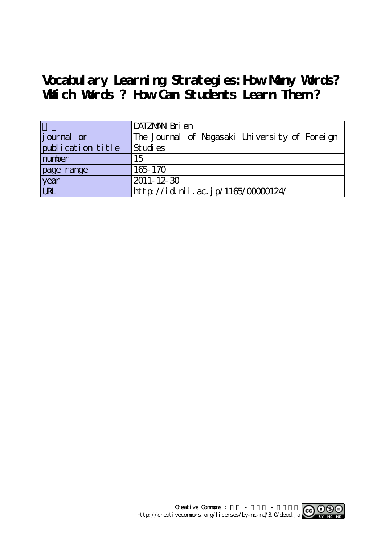# **Vocabulary Learning Strategies:How Many Words? Which Words ? How Can Students Learn Them ?**

|                   | DATZMAN Bri en                                |
|-------------------|-----------------------------------------------|
| journal or        | The Journal of Nagasaki University of Foreign |
| publication title | Studies                                       |
| number            | 15                                            |
| page range        | 165-170                                       |
| year<br>URL       | 2011-12-30                                    |
|                   | http://id.nii.ac.jp/1165/00000124/            |

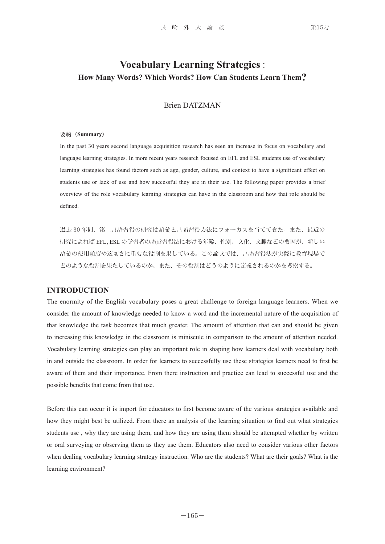## **Vocabulary Learning Strategies** : **How Many Words? Which Words? How Can Students Learn Them?**

### Brien DATZMAN

### 要約(**Summary**)

In the past 30 years second language acquisition research has seen an increase in focus on vocabulary and language learning strategies. In more recent years research focused on EFL and ESL students use of vocabulary learning strategies has found factors such as age, gender, culture, and context to have a significant effect on students use or lack of use and how successful they are in their use. The following paper provides a brief overview of the role vocabulary learning strategies can have in the classroom and how that role should be defined.

過去 30 年間、第二言語習得の研究は語彙と言語習得方法にフォーカスを当ててきた。また、最近の 研究によれば EFL, ESL の学習者の語彙習得法における年齢、性別、文化、文脈などの要因が、新しい 語彙の使用頻度や適切さに重要な役割を果している。この論文では、言語習得法が実際に教育現場で どのような役割を果たしているのか、また、その役割はどうのように定義されるのかを考察する。

### **INTRODUCTION**

The enormity of the English vocabulary poses a great challenge to foreign language learners. When we consider the amount of knowledge needed to know a word and the incremental nature of the acquisition of that knowledge the task becomes that much greater. The amount of attention that can and should be given to increasing this knowledge in the classroom is miniscule in comparison to the amount of attention needed. Vocabulary learning strategies can play an important role in shaping how learners deal with vocabulary both in and outside the classroom. In order for learners to successfully use these strategies learners need to first be aware of them and their importance. From there instruction and practice can lead to successful use and the possible benefits that come from that use.

Before this can occur it is import for educators to first become aware of the various strategies available and how they might best be utilized. From there an analysis of the learning situation to find out what strategies students use , why they are using them, and how they are using them should be attempted whether by written or oral surveying or observing them as they use them. Educators also need to consider various other factors when dealing vocabulary learning strategy instruction. Who are the students? What are their goals? What is the learning environment?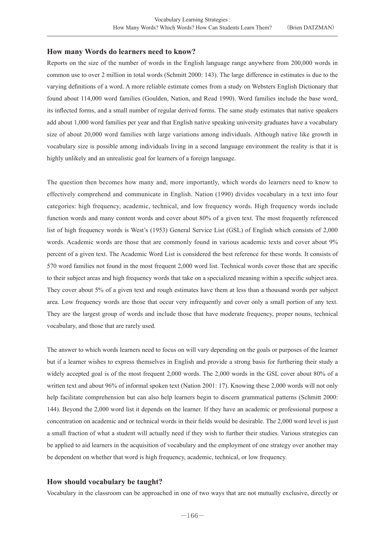### **How many Words do learners need to know?**

Reports on the size of the number of words in the English language range anywhere from 200,000 words in common use to over 2 million in total words (Schmitt 2000: 143). The large difference in estimates is due to the varying definitions of a word. A more reliable estimate comes from a study on Websters English Dictionary that found about 114,000 word families (Goulden, Nation, and Read 1990). Word families include the base word, its inflected forms, and a small number of regular derived forms. The same study estimates that native speakers add about 1,000 word families per year and that English native speaking university graduates have a vocabulary size of about 20,000 word families with large variations among individuals. Although native like growth in vocabulary size is possible among individuals living in a second language environment the reality is that it is highly unlikely and an unrealistic goal for learners of a foreign language.

The question then becomes how many and, more importantly, which words do learners need to know to effectively comprehend and communicate in English. Nation (1990) divides vocabulary in a text into four categories: high frequency, academic, technical, and low frequency words. High frequency words include function words and many content words and cover about 80% of a given text. The most frequently referenced list of high frequency words is West's (1953) General Service List (GSL) of English which consists of 2,000 words. Academic words are those that are commonly found in various academic texts and cover about 9% percent of a given text. The Academic Word List is considered the best reference for these words. It consists of 570 word families not found in the most frequent 2,000 word list. Technical words cover those that are specific to their subject areas and high frequency words that take on a specialized meaning within a specific subject area. They cover about 5% of a given text and rough estimates have them at less than a thousand words per subject area. Low frequency words are those that occur very infrequently and cover only a small portion of any text. They are the largest group of words and include those that have moderate frequency, proper nouns, technical vocabulary, and those that are rarely used.

The answer to which words learners need to focus on will vary depending on the goals or purposes of the learner but if a learner wishes to express themselves in English and provide a strong basis for furthering their study a widely accepted goal is of the most frequent 2,000 words. The 2,000 words in the GSL cover about 80% of a written text and about 96% of informal spoken text (Nation 2001: 17). Knowing these 2,000 words will not only help facilitate comprehension but can also help learners begin to discern grammatical patterns (Schmitt 2000: 144). Beyond the 2,000 word list it depends on the learner. If they have an academic or professional purpose a concentration on academic and or technical words in their fields would be desirable. The 2,000 word level is just a small fraction of what a student will actually need if they wish to further their studies. Various strategies can be applied to aid learners in the acquisition of vocabulary and the employment of one strategy over another may be dependent on whether that word is high frequency, academic, technical, or low frequency.

### **How should vocabulary be taught?**

Vocabulary in the classroom can be approached in one of two ways that are not mutually exclusive, directly or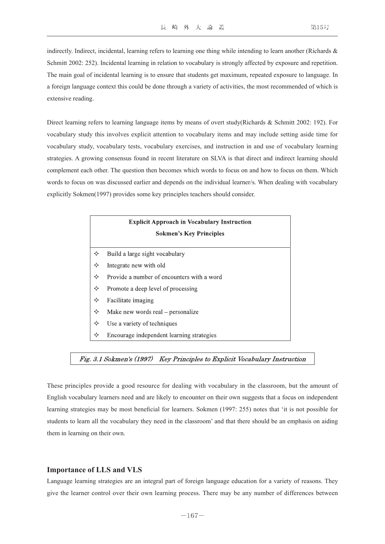indirectly. Indirect, incidental, learning refers to learning one thing while intending to learn another (Richards & Schmitt 2002: 252). Incidental learning in relation to vocabulary is strongly affected by exposure and repetition. The main goal of incidental learning is to ensure that students get maximum, repeated exposure to language. In a foreign language context this could be done through a variety of activities, the most recommended of which is extensive reading.

Direct learning refers to learning language items by means of overt study(Richards & Schmitt 2002: 192). For vocabulary study this involves explicit attention to vocabulary items and may include setting aside time for vocabulary study, vocabulary tests, vocabulary exercises, and instruction in and use of vocabulary learning strategies. A growing consensus found in recent literature on SLVA is that direct and indirect learning should complement each other. The question then becomes which words to focus on and how to focus on them. Which words to focus on was discussed earlier and depends on the individual learner/s. When dealing with vocabulary explicitly Sokmen(1997) provides some key principles teachers should consider.

| <b>Explicit Approach in Vocabulary Instruction</b> |                                            |
|----------------------------------------------------|--------------------------------------------|
| <b>Sokmen's Key Principles</b>                     |                                            |
| ✧                                                  | Build a large sight vocabulary             |
| ✧                                                  | Integrate new with old                     |
| ✧                                                  | Provide a number of encounters with a word |
| ✧                                                  | Promote a deep level of processing         |
| ✧                                                  | Facilitate imaging                         |
| ✧                                                  | Make new words real – personalize          |
| ✧                                                  | Use a variety of techniques                |
| ✧                                                  | Encourage independent learning strategies  |

#### Fig. 3.1 Sokmen's (1997) Key Principles to Explicit Vocabulary Instruction

These principles provide a good resource for dealing with vocabulary in the classroom, but the amount of English vocabulary learners need and are likely to encounter on their own suggests that a focus on independent learning strategies may be most beneficial for learners. Sokmen (1997: 255) notes that 'it is not possible for students to learn all the vocabulary they need in the classroom' and that there should be an emphasis on aiding them in learning on their own.

### **Importance of LLS and VLS**

Language learning strategies are an integral part of foreign language education for a variety of reasons. They give the learner control over their own learning process. There may be any number of differences between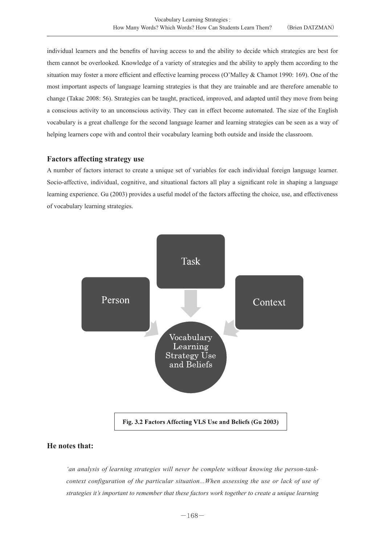individual learners and the benefits of having access to and the ability to decide which strategies are best for them cannot be overlooked. Knowledge of a variety of strategies and the ability to apply them according to the situation may foster a more efficient and effective learning process (O'Malley & Chamot 1990: 169). One of the most important aspects of language learning strategies is that they are trainable and are therefore amenable to change (Takac 2008: 56). Strategies can be taught, practiced, improved, and adapted until they move from being a conscious activity to an unconscious activity. They can in effect become automated. The size of the English vocabulary is a great challenge for the second language learner and learning strategies can be seen as a way of helping learners cope with and control their vocabulary learning both outside and inside the classroom.

### **Factors affecting strategy use**

A number of factors interact to create a unique set of variables for each individual foreign language learner. Socio-affective, individual, cognitive, and situational factors all play a significant role in shaping a language learning experience. Gu (2003) provides a useful model of the factors affecting the choice, use, and effectiveness of vocabulary learning strategies.



### **He notes that:**

*'an analysis of learning strategies will never be complete without knowing the person-taskcontext configuration of the particular situation...When assessing the use or lack of use of strategies it's important to remember that these factors work together to create a unique learning*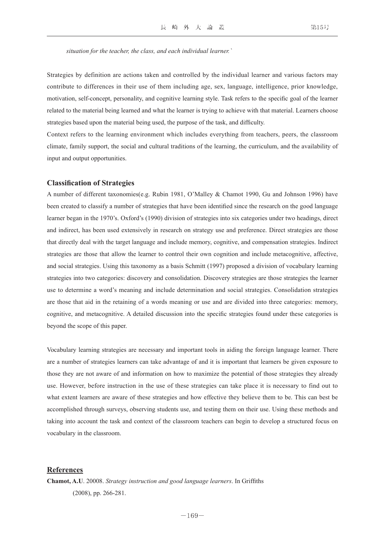*situation for the teacher, the class, and each individual learner.`*

Strategies by definition are actions taken and controlled by the individual learner and various factors may contribute to differences in their use of them including age, sex, language, intelligence, prior knowledge, motivation, self-concept, personality, and cognitive learning style. Task refers to the specific goal of the learner related to the material being learned and what the learner is trying to achieve with that material. Learners choose strategies based upon the material being used, the purpose of the task, and difficulty.

Context refers to the learning environment which includes everything from teachers, peers, the classroom climate, family support, the social and cultural traditions of the learning, the curriculum, and the availability of input and output opportunities.

### **Classification of Strategies**

A number of different taxonomies(e.g. Rubin 1981, O'Malley & Chamot 1990, Gu and Johnson 1996) have been created to classify a number of strategies that have been identified since the research on the good language learner began in the 1970's. Oxford's (1990) division of strategies into six categories under two headings, direct and indirect, has been used extensively in research on strategy use and preference. Direct strategies are those that directly deal with the target language and include memory, cognitive, and compensation strategies. Indirect strategies are those that allow the learner to control their own cognition and include metacognitive, affective, and social strategies. Using this taxonomy as a basis Schmitt (1997) proposed a division of vocabulary learning strategies into two categories: discovery and consolidation. Discovery strategies are those strategies the learner use to determine a word's meaning and include determination and social strategies. Consolidation strategies are those that aid in the retaining of a words meaning or use and are divided into three categories: memory, cognitive, and metacognitive. A detailed discussion into the specific strategies found under these categories is beyond the scope of this paper.

Vocabulary learning strategies are necessary and important tools in aiding the foreign language learner. There are a number of strategies learners can take advantage of and it is important that learners be given exposure to those they are not aware of and information on how to maximize the potential of those strategies they already use. However, before instruction in the use of these strategies can take place it is necessary to find out to what extent learners are aware of these strategies and how effective they believe them to be. This can best be accomplished through surveys, observing students use, and testing them on their use. Using these methods and taking into account the task and context of the classroom teachers can begin to develop a structured focus on vocabulary in the classroom.

### **References**

**Chamot, A.U**. 20008. *Strategy instruction and good language learners*. In Griffiths (2008), pp. 266-281.